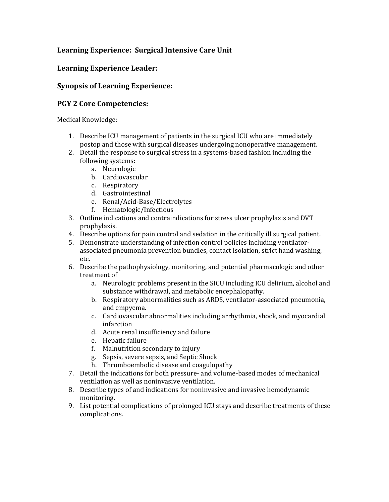## **Learning Experience: Surgical Intensive Care Unit**

## **Learning Experience Leader:**

## **Synopsis of Learning Experience:**

## **PGY 2 Core Competencies:**

Medical Knowledge:

- 1. Describe ICU management of patients in the surgical ICU who are immediately postop and those with surgical diseases undergoing nonoperative management.
- 2. Detail the response to surgical stress in a systems-based fashion including the following systems:
	- a. Neurologic
	- b. Cardiovascular
	- c. Respiratory
	- d. Gastrointestinal
	- e. Renal/Acid-Base/Electrolytes
	- f. Hematologic/Infectious
- 3. Outline indications and contraindications for stress ulcer prophylaxis and DVT prophylaxis.
- 4. Describe options for pain control and sedation in the critically ill surgical patient.
- 5. Demonstrate understanding of infection control policies including ventilatorassociated pneumonia prevention bundles, contact isolation, strict hand washing, etc.
- 6. Describe the pathophysiology, monitoring, and potential pharmacologic and other treatment of
	- a. Neurologic problems present in the SICU including ICU delirium, alcohol and substance withdrawal, and metabolic encephalopathy.
	- b. Respiratory abnormalities such as ARDS, ventilator-associated pneumonia, and empyema.
	- c. Cardiovascular abnormalities including arrhythmia, shock, and myocardial infarction
	- d. Acute renal insufficiency and failure
	- e. Hepatic failure
	- f. Malnutrition secondary to injury
	- g. Sepsis, severe sepsis, and Septic Shock
	- h. Thromboembolic disease and coagulopathy
- 7. Detail the indications for both pressure- and volume-based modes of mechanical ventilation as well as noninvasive ventilation.
- 8. Describe types of and indications for noninvasive and invasive hemodynamic monitoring.
- 9. List potential complications of prolonged ICU stays and describe treatments of these complications.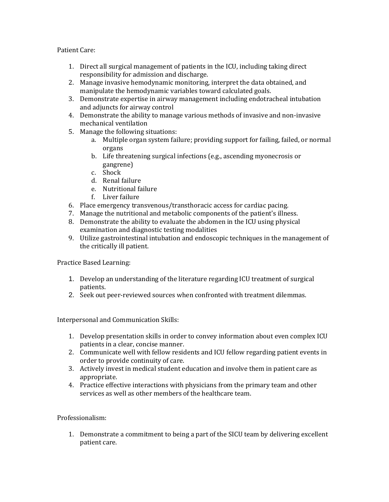Patient Care:

- 1. Direct all surgical management of patients in the ICU, including taking direct responsibility for admission and discharge.
- 2. Manage invasive hemodynamic monitoring, interpret the data obtained, and manipulate the hemodynamic variables toward calculated goals.
- 3. Demonstrate expertise in airway management including endotracheal intubation and adjuncts for airway control
- 4. Demonstrate the ability to manage various methods of invasive and non-invasive mechanical ventilation
- 5. Manage the following situations:
	- a. Multiple organ system failure; providing support for failing, failed, or normal organs
	- b. Life threatening surgical infections (e.g., ascending myonecrosis or gangrene)
	- c. Shock
	- d. Renal failure
	- e. Nutritional failure
	- f. Liver failure
- 6. Place emergency transvenous/transthoracic access for cardiac pacing.
- 7. Manage the nutritional and metabolic components of the patient's illness.
- 8. Demonstrate the ability to evaluate the abdomen in the ICU using physical examination and diagnostic testing modalities
- 9. Utilize gastrointestinal intubation and endoscopic techniques in the management of the critically ill patient.

Practice Based Learning:

- 1. Develop an understanding of the literature regarding ICU treatment of surgical patients.
- 2. Seek out peer-reviewed sources when confronted with treatment dilemmas.

Interpersonal and Communication Skills:

- 1. Develop presentation skills in order to convey information about even complex ICU patients in a clear, concise manner.
- 2. Communicate well with fellow residents and ICU fellow regarding patient events in order to provide continuity of care.
- 3. Actively invest in medical student education and involve them in patient care as appropriate.
- 4. Practice effective interactions with physicians from the primary team and other services as well as other members of the healthcare team.

Professionalism:

1. Demonstrate a commitment to being a part of the SICU team by delivering excellent patient care.